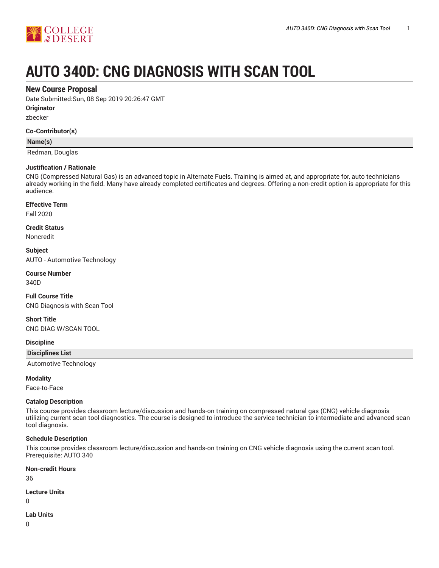

# **AUTO 340D: CNG DIAGNOSIS WITH SCAN TOOL**

# **New Course Proposal**

Date Submitted:Sun, 08 Sep 2019 20:26:47 GMT

**Originator**

zbecker

## **Co-Contributor(s)**

## **Name(s)**

Redman, Douglas

#### **Justification / Rationale**

CNG (Compressed Natural Gas) is an advanced topic in Alternate Fuels. Training is aimed at, and appropriate for, auto technicians already working in the field. Many have already completed certificates and degrees. Offering a non-credit option is appropriate for this audience.

## **Effective Term**

Fall 2020

#### **Credit Status**

Noncredit

**Subject** AUTO - Automotive Technology

# **Course Number**

340D

# **Full Course Title** CNG Diagnosis with Scan Tool

# **Short Title**

CNG DIAG W/SCAN TOOL

#### **Discipline**

**Disciplines List**

Automotive Technology

## **Modality**

Face-to-Face

## **Catalog Description**

This course provides classroom lecture/discussion and hands-on training on compressed natural gas (CNG) vehicle diagnosis utilizing current scan tool diagnostics. The course is designed to introduce the service technician to intermediate and advanced scan tool diagnosis.

## **Schedule Description**

This course provides classroom lecture/discussion and hands-on training on CNG vehicle diagnosis using the current scan tool. Prerequisite: AUTO 340

#### **Non-credit Hours**

36

## **Lecture Units**

0

## **Lab Units**

0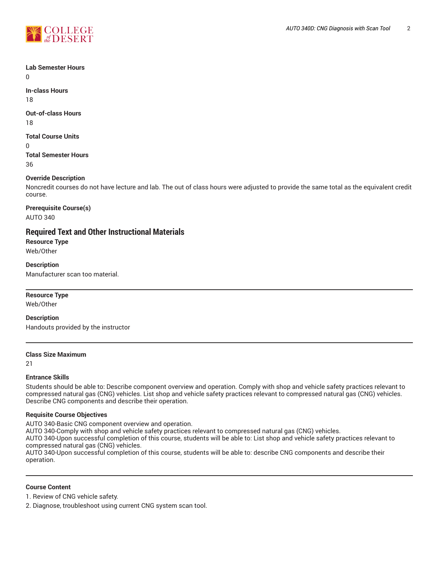

# **Lab Semester Hours**

 $\Omega$ 

**In-class Hours** 18

**Out-of-class Hours**

18

**Total Course Units**

 $\Omega$ 

**Total Semester Hours** 36

# **Override Description**

Noncredit courses do not have lecture and lab. The out of class hours were adjusted to provide the same total as the equivalent credit course.

**Prerequisite Course(s)** AUTO 340

# **Required Text and Other Instructional Materials**

**Resource Type** Web/Other

**Description** Manufacturer scan too material.

# **Resource Type**

Web/Other

**Description** Handouts provided by the instructor

## **Class Size Maximum**

21

## **Entrance Skills**

Students should be able to: Describe component overview and operation. Comply with shop and vehicle safety practices relevant to compressed natural gas (CNG) vehicles. List shop and vehicle safety practices relevant to compressed natural gas (CNG) vehicles. Describe CNG components and describe their operation.

## **Requisite Course Objectives**

AUTO 340-Basic CNG component overview and operation.

AUTO 340-Comply with shop and vehicle safety practices relevant to compressed natural gas (CNG) vehicles.

AUTO 340-Upon successful completion of this course, students will be able to: List shop and vehicle safety practices relevant to compressed natural gas (CNG) vehicles.

AUTO 340-Upon successful completion of this course, students will be able to: describe CNG components and describe their operation.

## **Course Content**

1. Review of CNG vehicle safety.

2. Diagnose, troubleshoot using current CNG system scan tool.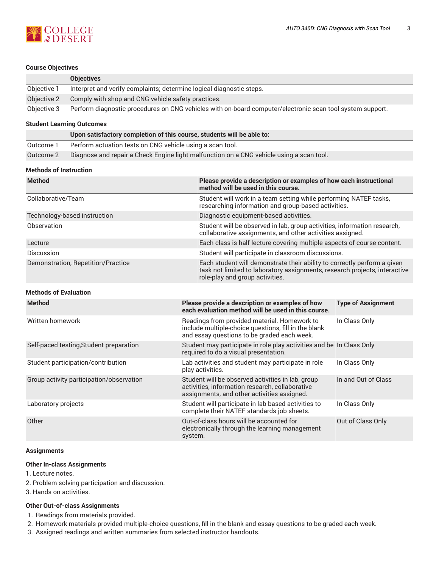

## **Course Objectives**

|             | <b>Objectives</b>                                                                                         |
|-------------|-----------------------------------------------------------------------------------------------------------|
| Objective 1 | Interpret and verify complaints; determine logical diagnostic steps.                                      |
| Objective 2 | Comply with shop and CNG vehicle safety practices.                                                        |
| Objective 3 | Perform diagnostic procedures on CNG vehicles with on-board computer/electronic scan tool system support. |

#### **Student Learning Outcomes**

| Upon satisfactory completion of this course, students will be able to: |                                                                                          |  |
|------------------------------------------------------------------------|------------------------------------------------------------------------------------------|--|
| Outcome 1                                                              | Perform actuation tests on CNG vehicle using a scan tool.                                |  |
| Outcome 2                                                              | Diagnose and repair a Check Engine light malfunction on a CNG vehicle using a scan tool. |  |

## **Methods of Instruction**

| <b>Method</b>                      | Please provide a description or examples of how each instructional<br>method will be used in this course.                                                                                 |
|------------------------------------|-------------------------------------------------------------------------------------------------------------------------------------------------------------------------------------------|
| Collaborative/Team                 | Student will work in a team setting while performing NATEF tasks,<br>researching information and group-based activities.                                                                  |
| Technology-based instruction       | Diagnostic equipment-based activities.                                                                                                                                                    |
| Observation                        | Student will be observed in lab, group activities, information research,<br>collaborative assignments, and other activities assigned.                                                     |
| Lecture                            | Each class is half lecture covering multiple aspects of course content.                                                                                                                   |
| Discussion                         | Student will participate in classroom discussions.                                                                                                                                        |
| Demonstration, Repetition/Practice | Each student will demonstrate their ability to correctly perform a given<br>task not limited to laboratory assignments, research projects, interactive<br>role-play and group activities. |

## **Methods of Evaluation**

| <b>Method</b>                            | Please provide a description or examples of how<br>each evaluation method will be used in this course.                                              | <b>Type of Assignment</b> |
|------------------------------------------|-----------------------------------------------------------------------------------------------------------------------------------------------------|---------------------------|
| Written homework                         | Readings from provided material. Homework to<br>include multiple-choice questions, fill in the blank<br>and essay questions to be graded each week. | In Class Only             |
| Self-paced testing, Student preparation  | Student may participate in role play activities and be In Class Only<br>required to do a visual presentation.                                       |                           |
| Student participation/contribution       | Lab activities and student may participate in role<br>play activities.                                                                              | In Class Only             |
| Group activity participation/observation | Student will be observed activities in lab, group<br>activities, information research, collaborative<br>assignments, and other activities assigned. | In and Out of Class       |
| Laboratory projects                      | Student will participate in lab based activities to<br>complete their NATEF standards job sheets.                                                   | In Class Only             |
| Other                                    | Out-of-class hours will be accounted for<br>electronically through the learning management<br>system.                                               | Out of Class Only         |

## **Assignments**

#### **Other In-class Assignments**

- 1. Lecture notes.
- 2. Problem solving participation and discussion.
- 3. Hands on activities.

#### **Other Out-of-class Assignments**

- 1. Readings from materials provided.
- 2. Homework materials provided multiple-choice questions, fill in the blank and essay questions to be graded each week.
- 3. Assigned readings and written summaries from selected instructor handouts.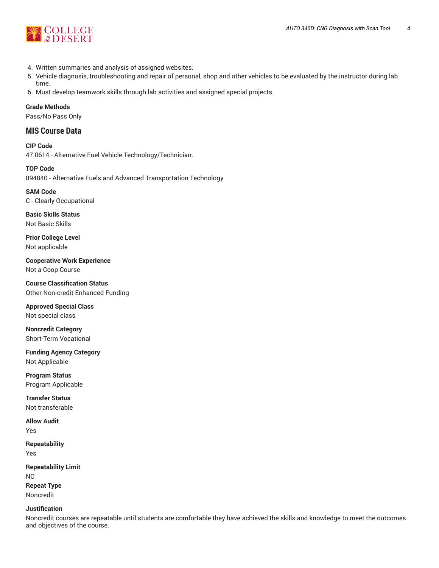

- 4. Written summaries and analysis of assigned websites.
- 5. Vehicle diagnosis, troubleshooting and repair of personal, shop and other vehicles to be evaluated by the instructor during lab time.
- 6. Must develop teamwork skills through lab activities and assigned special projects.

**Grade Methods**

Pass/No Pass Only

# **MIS Course Data**

**CIP Code** 47.0614 - Alternative Fuel Vehicle Technology/Technician.

**TOP Code** 094840 - Alternative Fuels and Advanced Transportation Technology

**SAM Code** C - Clearly Occupational

**Basic Skills Status** Not Basic Skills

**Prior College Level** Not applicable

**Cooperative Work Experience** Not a Coop Course

**Course Classification Status** Other Non-credit Enhanced Funding

**Approved Special Class** Not special class

**Noncredit Category** Short-Term Vocational

**Funding Agency Category** Not Applicable

**Program Status** Program Applicable

**Transfer Status** Not transferable

**Allow Audit** Yes

**Repeatability** Yes

**Repeatability Limit** NC **Repeat Type** Noncredit

**Justification**

Noncredit courses are repeatable until students are comfortable they have achieved the skills and knowledge to meet the outcomes and objectives of the course.